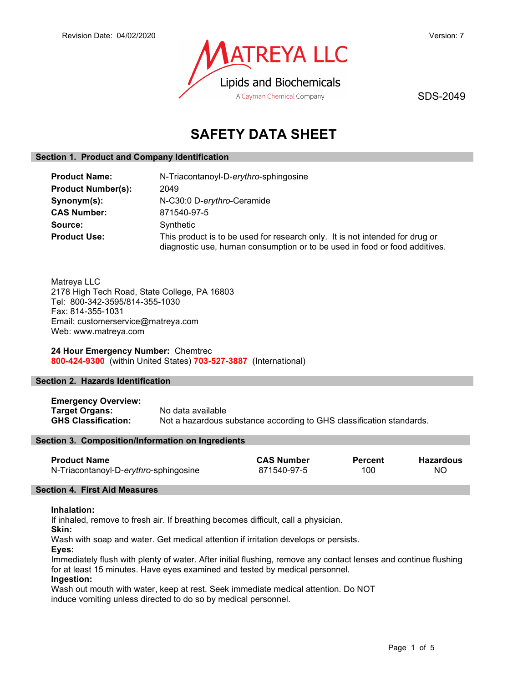

SDS-2049

# SAFETY DATA SHEET

## Section 1. Product and Company Identification

| <b>Product Name:</b>      | N-Triacontanoyl-D-erythro-sphingosine                                                                                                                      |  |  |
|---------------------------|------------------------------------------------------------------------------------------------------------------------------------------------------------|--|--|
| <b>Product Number(s):</b> | 2049                                                                                                                                                       |  |  |
| Synonym(s):               | N-C30:0 D-erythro-Ceramide                                                                                                                                 |  |  |
| <b>CAS Number:</b>        | 871540-97-5                                                                                                                                                |  |  |
| Source:                   | Synthetic                                                                                                                                                  |  |  |
| <b>Product Use:</b>       | This product is to be used for research only. It is not intended for drug or<br>diagnostic use, human consumption or to be used in food or food additives. |  |  |

Matreya LLC 2178 High Tech Road, State College, PA 16803 Tel: 800-342-3595/814-355-1030 Fax: 814-355-1031 Email: customerservice@matreya.com Web: www.matreya.com

24 Hour Emergency Number: Chemtrec 800-424-9300 (within United States) 703-527-3887 (International)

## Section 2. Hazards Identification

Emergency Overview: Target Organs: No data available GHS Classification: Not a hazardous substance according to GHS classification standards.

## Section 3. Composition/Information on Ingredients

| <b>Product Name</b>                   | <b>CAS Number</b> | <b>Percent</b> | <b>Hazardous</b> |
|---------------------------------------|-------------------|----------------|------------------|
| N-Triacontanoyl-D-erythro-sphingosine | 871540-97-5       | 100            | NO.              |

### Section 4. First Aid Measures

### Inhalation:

If inhaled, remove to fresh air. If breathing becomes difficult, call a physician.

Skin:

Wash with soap and water. Get medical attention if irritation develops or persists.

Eyes:

Immediately flush with plenty of water. After initial flushing, remove any contact lenses and continue flushing for at least 15 minutes. Have eyes examined and tested by medical personnel.

## Ingestion:

Wash out mouth with water, keep at rest. Seek immediate medical attention. Do NOT induce vomiting unless directed to do so by medical personnel.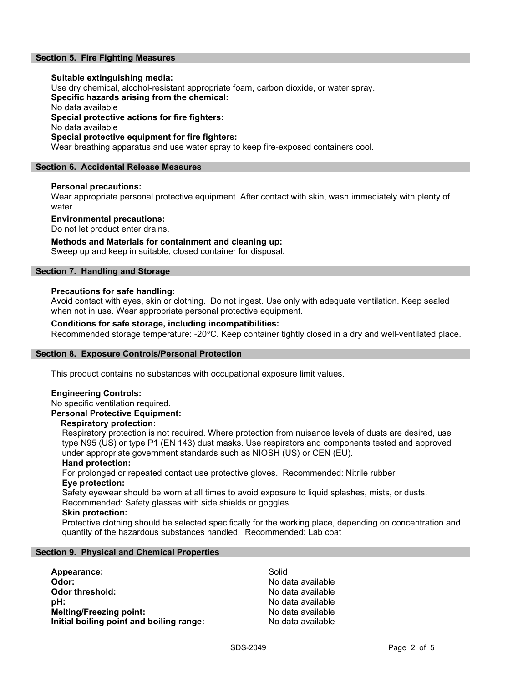## Section 5. Fire Fighting Measures

### Suitable extinguishing media:

Use dry chemical, alcohol-resistant appropriate foam, carbon dioxide, or water spray.

Specific hazards arising from the chemical:

No data available

Special protective actions for fire fighters:

No data available

### Special protective equipment for fire fighters:

Wear breathing apparatus and use water spray to keep fire-exposed containers cool.

## Section 6. Accidental Release Measures

### Personal precautions:

Wear appropriate personal protective equipment. After contact with skin, wash immediately with plenty of water.

## Environmental precautions:

Do not let product enter drains.

## Methods and Materials for containment and cleaning up:

Sweep up and keep in suitable, closed container for disposal.

## Section 7. Handling and Storage

### Precautions for safe handling:

Avoid contact with eyes, skin or clothing. Do not ingest. Use only with adequate ventilation. Keep sealed when not in use. Wear appropriate personal protective equipment.

### Conditions for safe storage, including incompatibilities:

Recommended storage temperature: -20°C. Keep container tightly closed in a dry and well-ventilated place.

### Section 8. Exposure Controls/Personal Protection

This product contains no substances with occupational exposure limit values.

### Engineering Controls:

No specific ventilation required.

## Personal Protective Equipment:

### Respiratory protection:

Respiratory protection is not required. Where protection from nuisance levels of dusts are desired, use type N95 (US) or type P1 (EN 143) dust masks. Use respirators and components tested and approved under appropriate government standards such as NIOSH (US) or CEN (EU).

### Hand protection:

For prolonged or repeated contact use protective gloves. Recommended: Nitrile rubber Eye protection:

Safety eyewear should be worn at all times to avoid exposure to liquid splashes, mists, or dusts. Recommended: Safety glasses with side shields or goggles.

## Skin protection:

Protective clothing should be selected specifically for the working place, depending on concentration and quantity of the hazardous substances handled. Recommended: Lab coat

## Section 9. Physical and Chemical Properties

| Appearance:                              | Solid             |
|------------------------------------------|-------------------|
| Odor:                                    | No data available |
| Odor threshold:                          | No data available |
| :bH                                      | No data available |
| <b>Melting/Freezing point:</b>           | No data available |
| Initial boiling point and boiling range: | No data available |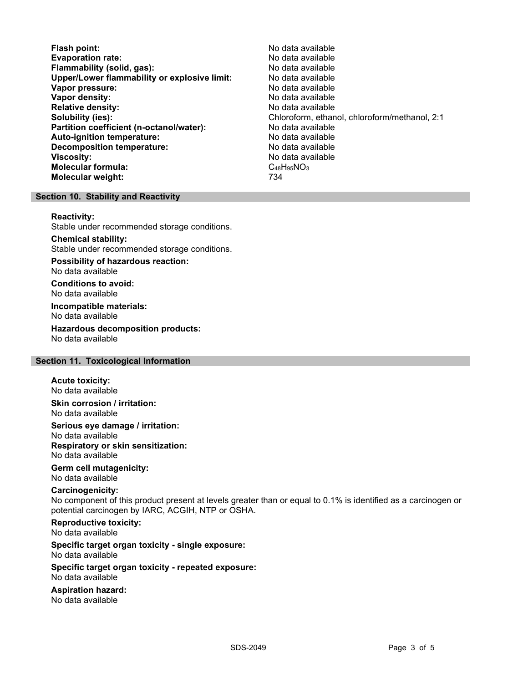- Flash point:<br>
Evaporation rate:<br>
Evaporation rate: No data available Evaporation rate: No data available Flammability (solid, gas): Upper/Lower flammability or explosive limit: No data available Vapor pressure: No data available **Vapor density:** No data available in the set of the set of the No data available Relative density: No data available Solubility (ies): Chloroform, ethanol, chloroform/methanol, 2:1 Partition coefficient (n-octanol/water): No data available Auto-ignition temperature:  $\begin{array}{ccc} \text{Auto-ignition temperature:} & \text{No data available} \end{array}$ Decomposition temperature: **Viscosity:** No data available in the set of the set of the set of the set of the set of the set of the set of the set of the set of the set of the set of the set of the set of the set of the set of the set of the set of t Molecular formula: C48H95NO3 Molecular weight: 734
	-

## Section 10. Stability and Reactivity

### Reactivity:

Stable under recommended storage conditions.

## Chemical stability:

Stable under recommended storage conditions.

Possibility of hazardous reaction: No data available

Conditions to avoid: No data available

Incompatible materials: No data available

Hazardous decomposition products: No data available

## Section 11. Toxicological Information

### Acute toxicity:

No data available

Skin corrosion / irritation: No data available

## Serious eye damage / irritation: No data available Respiratory or skin sensitization:

No data available

## Germ cell mutagenicity:

No data available

## Carcinogenicity:

No component of this product present at levels greater than or equal to 0.1% is identified as a carcinogen or potential carcinogen by IARC, ACGIH, NTP or OSHA.

### Reproductive toxicity: No data available

### Specific target organ toxicity - single exposure: No data available

### Specific target organ toxicity - repeated exposure: No data available

### Aspiration hazard: No data available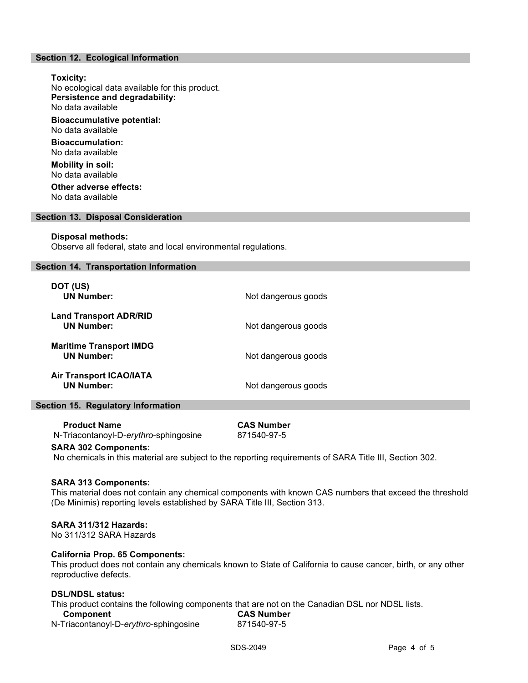### Section 12. Ecological Information

Toxicity: No ecological data available for this product. Persistence and degradability: No data available Bioaccumulative potential: No data available Bioaccumulation: No data available Mobility in soil: No data available Other adverse effects:

No data available

### Section 13. Disposal Consideration

### Disposal methods:

Observe all federal, state and local environmental regulations.

### Section 14. Transportation Information

| DOT (US)<br><b>UN Number:</b>                       | Not dangerous goods |
|-----------------------------------------------------|---------------------|
| <b>Land Transport ADR/RID</b><br><b>UN Number:</b>  | Not dangerous goods |
| <b>Maritime Transport IMDG</b><br><b>UN Number:</b> | Not dangerous goods |
| <b>Air Transport ICAO/IATA</b><br><b>UN Number:</b> | Not dangerous goods |

### Section 15. Regulatory Information

 Product Name CAS Number N-Triacontanoyl-D-erythro-sphingosine 871540-97-5

### SARA 302 Components:

No chemicals in this material are subject to the reporting requirements of SARA Title III, Section 302.

### SARA 313 Components:

This material does not contain any chemical components with known CAS numbers that exceed the threshold (De Minimis) reporting levels established by SARA Title III, Section 313.

### SARA 311/312 Hazards:

No 311/312 SARA Hazards

### California Prop. 65 Components:

This product does not contain any chemicals known to State of California to cause cancer, birth, or any other reproductive defects.

### DSL/NDSL status:

This product contains the following components that are not on the Canadian DSL nor NDSL lists.

| Component                             | <b>CAS Number</b> |
|---------------------------------------|-------------------|
| N-Triacontanoyl-D-erythro-sphingosine | 871540-97-5       |